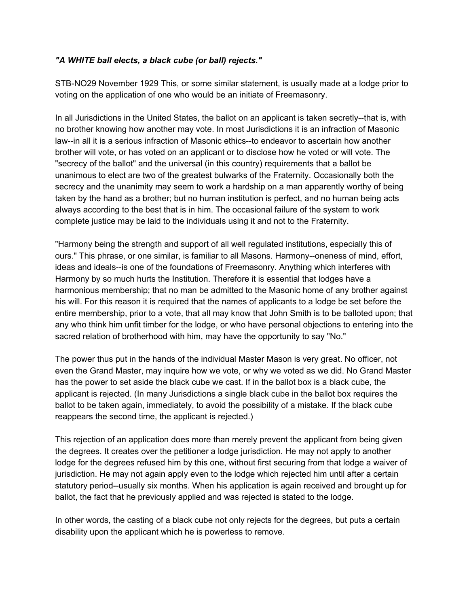## *"A WHITE ball elects, a black cube (or ball) rejects."*

STB-NO29 November 1929 This, or some similar statement, is usually made at a lodge prior to voting on the application of one who would be an initiate of Freemasonry.

In all Jurisdictions in the United States, the ballot on an applicant is taken secretly--that is, with no brother knowing how another may vote. In most Jurisdictions it is an infraction of Masonic law--in all it is a serious infraction of Masonic ethics--to endeavor to ascertain how another brother will vote, or has voted on an applicant or to disclose how he voted or will vote. The "secrecy of the ballot" and the universal (in this country) requirements that a ballot be unanimous to elect are two of the greatest bulwarks of the Fraternity. Occasionally both the secrecy and the unanimity may seem to work a hardship on a man apparently worthy of being taken by the hand as a brother; but no human institution is perfect, and no human being acts always according to the best that is in him. The occasional failure of the system to work complete justice may be laid to the individuals using it and not to the Fraternity.

"Harmony being the strength and support of all well regulated institutions, especially this of ours." This phrase, or one similar, is familiar to all Masons. Harmony--oneness of mind, effort, ideas and ideals--is one of the foundations of Freemasonry. Anything which interferes with Harmony by so much hurts the Institution. Therefore it is essential that lodges have a harmonious membership; that no man be admitted to the Masonic home of any brother against his will. For this reason it is required that the names of applicants to a lodge be set before the entire membership, prior to a vote, that all may know that John Smith is to be balloted upon; that any who think him unfit timber for the lodge, or who have personal objections to entering into the sacred relation of brotherhood with him, may have the opportunity to say "No."

The power thus put in the hands of the individual Master Mason is very great. No officer, not even the Grand Master, may inquire how we vote, or why we voted as we did. No Grand Master has the power to set aside the black cube we cast. If in the ballot box is a black cube, the applicant is rejected. (In many Jurisdictions a single black cube in the ballot box requires the ballot to be taken again, immediately, to avoid the possibility of a mistake. If the black cube reappears the second time, the applicant is rejected.)

This rejection of an application does more than merely prevent the applicant from being given the degrees. It creates over the petitioner a lodge jurisdiction. He may not apply to another lodge for the degrees refused him by this one, without first securing from that lodge a waiver of jurisdiction. He may not again apply even to the lodge which rejected him until after a certain statutory period--usually six months. When his application is again received and brought up for ballot, the fact that he previously applied and was rejected is stated to the lodge.

In other words, the casting of a black cube not only rejects for the degrees, but puts a certain disability upon the applicant which he is powerless to remove.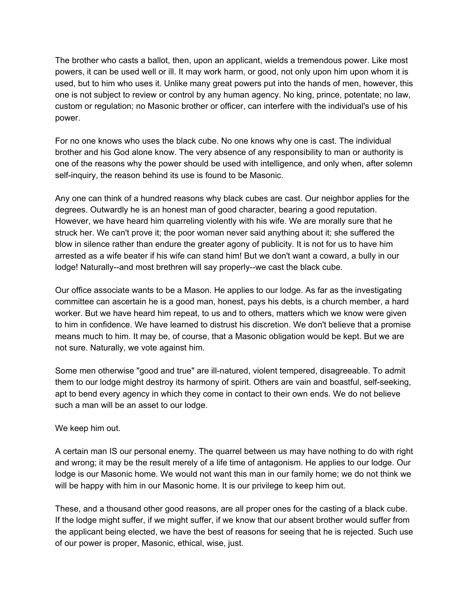The brother who casts a ballot, then, upon an applicant, wields a tremendous power. Like most powers, it can be used well or ill. It may work harm, or good, not only upon him upon whom it is used, but to him who uses it. Unlike many great powers put into the hands of men, however, this one is not subject to review or control by any human agency. No king, prince, potentate; no law, custom or regulation; no Masonic brother or officer, can interfere with the individual's use of his power.

For no one knows who uses the black cube. No one knows why one is cast. The individual brother and his God alone know. The very absence of any responsibility to man or authority is one of the reasons why the power should be used with intelligence, and only when, after solemn self-inquiry, the reason behind its use is found to be Masonic.

Any one can think of a hundred reasons why black cubes are cast. Our neighbor applies for the degrees. Outwardly he is an honest man of good character, bearing a good reputation. However, we have heard him quarreling violently with his wife. We are morally sure that he struck her. We can't prove it; the poor woman never said anything about it; she suffered the blow in silence rather than endure the greater agony of publicity. It is not for us to have him arrested as a wife beater if his wife can stand him! But we don't want a coward, a bully in our lodge! Naturally--and most brethren will say properly--we cast the black cube.

Our office associate wants to be a Mason. He applies to our lodge. As far as the investigating committee can ascertain he is a good man, honest, pays his debts, is a church member, a hard worker. But we have heard him repeat, to us and to others, matters which we know were given to him in confidence. We have learned to distrust his discretion. We don't believe that a promise means much to him. It may be, of course, that a Masonic obligation would be kept. But we are not sure. Naturally, we vote against him.

Some men otherwise "good and true" are ill-natured, violent tempered, disagreeable. To admit them to our lodge might destroy its harmony of spirit. Others are vain and boastful, self-seeking, apt to bend every agency in which they come in contact to their own ends. We do not believe such a man will be an asset to our lodge.

## We keep him out.

A certain man IS our personal enemy. The quarrel between us may have nothing to do with right and wrong; it may be the result merely of a life time of antagonism. He applies to our lodge. Our lodge is our Masonic home. We would not want this man in our family home; we do not think we will be happy with him in our Masonic home. It is our privilege to keep him out.

These, and a thousand other good reasons, are all proper ones for the casting of a black cube. If the lodge might suffer, if we might suffer, if we know that our absent brother would suffer from the applicant being elected, we have the best of reasons for seeing that he is rejected. Such use of our power is proper, Masonic, ethical, wise, just.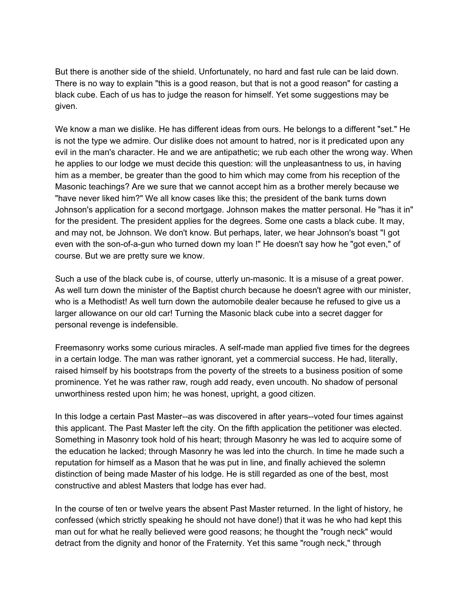But there is another side of the shield. Unfortunately, no hard and fast rule can be laid down. There is no way to explain "this is a good reason, but that is not a good reason" for casting a black cube. Each of us has to judge the reason for himself. Yet some suggestions may be given.

We know a man we dislike. He has different ideas from ours. He belongs to a different "set." He is not the type we admire. Our dislike does not amount to hatred, nor is it predicated upon any evil in the man's character. He and we are antipathetic; we rub each other the wrong way. When he applies to our lodge we must decide this question: will the unpleasantness to us, in having him as a member, be greater than the good to him which may come from his reception of the Masonic teachings? Are we sure that we cannot accept him as a brother merely because we "have never liked him?" We all know cases like this; the president of the bank turns down Johnson's application for a second mortgage. Johnson makes the matter personal. He "has it in" for the president. The president applies for the degrees. Some one casts a black cube. It may, and may not, be Johnson. We don't know. But perhaps, later, we hear Johnson's boast "I got even with the son-of-a-gun who turned down my loan !" He doesn't say how he "got even," of course. But we are pretty sure we know.

Such a use of the black cube is, of course, utterly un-masonic. It is a misuse of a great power. As well turn down the minister of the Baptist church because he doesn't agree with our minister, who is a Methodist! As well turn down the automobile dealer because he refused to give us a larger allowance on our old car! Turning the Masonic black cube into a secret dagger for personal revenge is indefensible.

Freemasonry works some curious miracles. A self-made man applied five times for the degrees in a certain lodge. The man was rather ignorant, yet a commercial success. He had, literally, raised himself by his bootstraps from the poverty of the streets to a business position of some prominence. Yet he was rather raw, rough add ready, even uncouth. No shadow of personal unworthiness rested upon him; he was honest, upright, a good citizen.

In this lodge a certain Past Master--as was discovered in after years--voted four times against this applicant. The Past Master left the city. On the fifth application the petitioner was elected. Something in Masonry took hold of his heart; through Masonry he was led to acquire some of the education he lacked; through Masonry he was led into the church. In time he made such a reputation for himself as a Mason that he was put in line, and finally achieved the solemn distinction of being made Master of his lodge. He is still regarded as one of the best, most constructive and ablest Masters that lodge has ever had.

In the course of ten or twelve years the absent Past Master returned. In the light of history, he confessed (which strictly speaking he should not have done!) that it was he who had kept this man out for what he really believed were good reasons; he thought the "rough neck" would detract from the dignity and honor of the Fraternity. Yet this same "rough neck," through